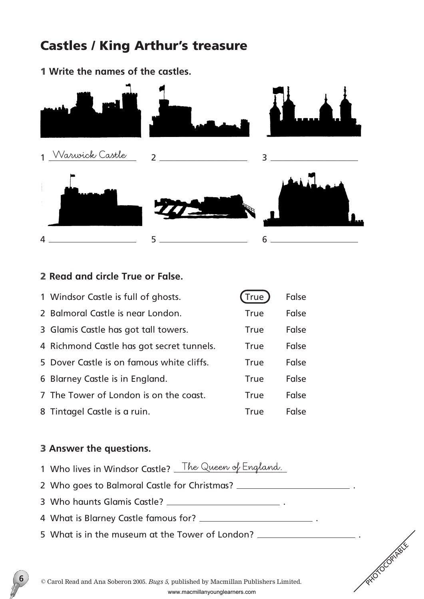## Castles / King Arthur's treasure

1 **Write the names of the castles.**



## 2 **Read and circle True or False.**

| 1 Windsor Castle is full of ghosts.       | (True       | False |
|-------------------------------------------|-------------|-------|
| 2 Balmoral Castle is near London.         | <b>True</b> | False |
| 3 Glamis Castle has got tall towers.      | True        | False |
| 4 Richmond Castle has got secret tunnels. | <b>True</b> | False |
| 5 Dover Castle is on famous white cliffs. | <b>True</b> | False |
| 6 Blarney Castle is in England.           | <b>True</b> | False |
| 7 The Tower of London is on the coast.    | <b>True</b> | False |
| 8 Tintagel Castle is a ruin.              | <b>True</b> | False |

### 3 **Answer the questions.**

**6**

- 1 Who lives in Windsor Castle? **The Queen of England.**
- 2 Who goes to Balmoral Castle for Christmas? \_\_\_\_\_\_\_\_\_\_\_\_\_\_\_\_\_\_\_\_\_\_\_\_\_\_\_\_\_\_\_\_\_\_\_
- 3 Who haunts Glamis Castle? .
- 4 What is Blarney Castle famous for? \_\_\_\_\_\_\_\_\_\_\_\_\_\_\_\_\_\_\_\_\_\_\_\_\_\_\_\_\_\_.
- 5 What is in the museum at the Tower of London? .

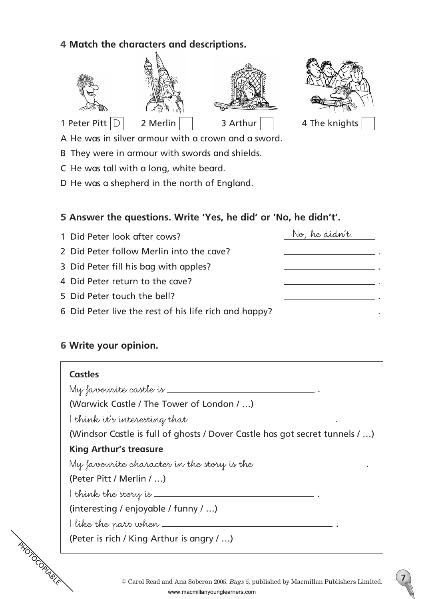## 4 **Match the characters and descriptions.**



A He was in silver armour with a crown and a sword.

B They were in armour with swords and shields.

C He was tall with a long, white beard.

D He was a shepherd in the north of England.

## 5 **Answer the questions. Write 'Yes, he did' or 'No, he didn't'.**

| 1 Did Peter look after cows?                          | No, he didn't. |
|-------------------------------------------------------|----------------|
| 2 Did Peter follow Merlin into the cave?              |                |
| 3 Did Peter fill his bag with apples?                 |                |
| 4 Did Peter return to the cave?                       |                |
| 5 Did Peter touch the bell?                           |                |
| 6 Did Peter live the rest of his life rich and happy? |                |

## 6 **Write your opinion.**

# **PHOTOCOPIABLE Castles My favourite castle is** . (Warwick Castle / The Tower of London / …) **I think it's interesting that** . (Windsor Castle is full of ghosts / Dover Castle has got secret tunnels / …) **King Arthur's treasure My favourite character in the story is the** . (Peter Pitt / Merlin / …) **I think the story is** . (interesting / enjoyable / funny / …) **I like the part when** . (Peter is rich / King Arthur is angry / …)